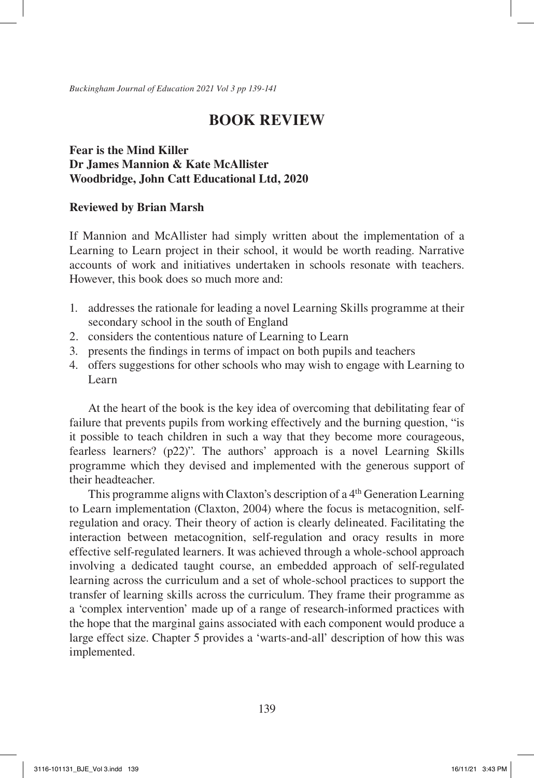*Buckingham Journal of Education 2021 Vol 3 pp 139-141*

# **BOOK REVIEW**

## **Fear is the Mind Killer Dr James Mannion & Kate McAllister Woodbridge, John Catt Educational Ltd, 2020**

### **Reviewed by Brian Marsh**

If Mannion and McAllister had simply written about the implementation of a Learning to Learn project in their school, it would be worth reading. Narrative accounts of work and initiatives undertaken in schools resonate with teachers. However, this book does so much more and:

- 1. addresses the rationale for leading a novel Learning Skills programme at their secondary school in the south of England
- 2. considers the contentious nature of Learning to Learn
- 3. presents the findings in terms of impact on both pupils and teachers
- 4. offers suggestions for other schools who may wish to engage with Learning to Learn

At the heart of the book is the key idea of overcoming that debilitating fear of failure that prevents pupils from working effectively and the burning question, "is it possible to teach children in such a way that they become more courageous, fearless learners? (p22)". The authors' approach is a novel Learning Skills programme which they devised and implemented with the generous support of their headteacher.

This programme aligns with Claxton's description of a 4th Generation Learning to Learn implementation (Claxton, 2004) where the focus is metacognition, selfregulation and oracy. Their theory of action is clearly delineated. Facilitating the interaction between metacognition, self-regulation and oracy results in more effective self-regulated learners. It was achieved through a whole-school approach involving a dedicated taught course, an embedded approach of self-regulated learning across the curriculum and a set of whole-school practices to support the transfer of learning skills across the curriculum. They frame their programme as a 'complex intervention' made up of a range of research-informed practices with the hope that the marginal gains associated with each component would produce a large effect size. Chapter 5 provides a 'warts-and-all' description of how this was implemented.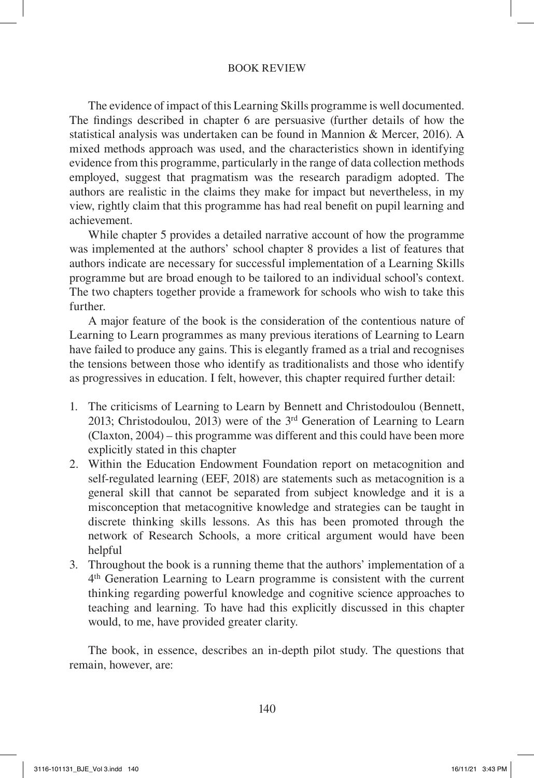#### BOOK REVIEW

The evidence of impact of this Learning Skills programme is well documented. The findings described in chapter 6 are persuasive (further details of how the statistical analysis was undertaken can be found in Mannion & Mercer, 2016). A mixed methods approach was used, and the characteristics shown in identifying evidence from this programme, particularly in the range of data collection methods employed, suggest that pragmatism was the research paradigm adopted. The authors are realistic in the claims they make for impact but nevertheless, in my view, rightly claim that this programme has had real benefit on pupil learning and achievement.

While chapter 5 provides a detailed narrative account of how the programme was implemented at the authors' school chapter 8 provides a list of features that authors indicate are necessary for successful implementation of a Learning Skills programme but are broad enough to be tailored to an individual school's context. The two chapters together provide a framework for schools who wish to take this further.

A major feature of the book is the consideration of the contentious nature of Learning to Learn programmes as many previous iterations of Learning to Learn have failed to produce any gains. This is elegantly framed as a trial and recognises the tensions between those who identify as traditionalists and those who identify as progressives in education. I felt, however, this chapter required further detail:

- 1. The criticisms of Learning to Learn by Bennett and Christodoulou (Bennett, 2013; Christodoulou, 2013) were of the 3rd Generation of Learning to Learn (Claxton, 2004) – this programme was different and this could have been more explicitly stated in this chapter
- 2. Within the Education Endowment Foundation report on metacognition and self-regulated learning (EEF, 2018) are statements such as metacognition is a general skill that cannot be separated from subject knowledge and it is a misconception that metacognitive knowledge and strategies can be taught in discrete thinking skills lessons. As this has been promoted through the network of Research Schools, a more critical argument would have been helpful
- 3. Throughout the book is a running theme that the authors' implementation of a 4th Generation Learning to Learn programme is consistent with the current thinking regarding powerful knowledge and cognitive science approaches to teaching and learning. To have had this explicitly discussed in this chapter would, to me, have provided greater clarity.

The book, in essence, describes an in-depth pilot study. The questions that remain, however, are: